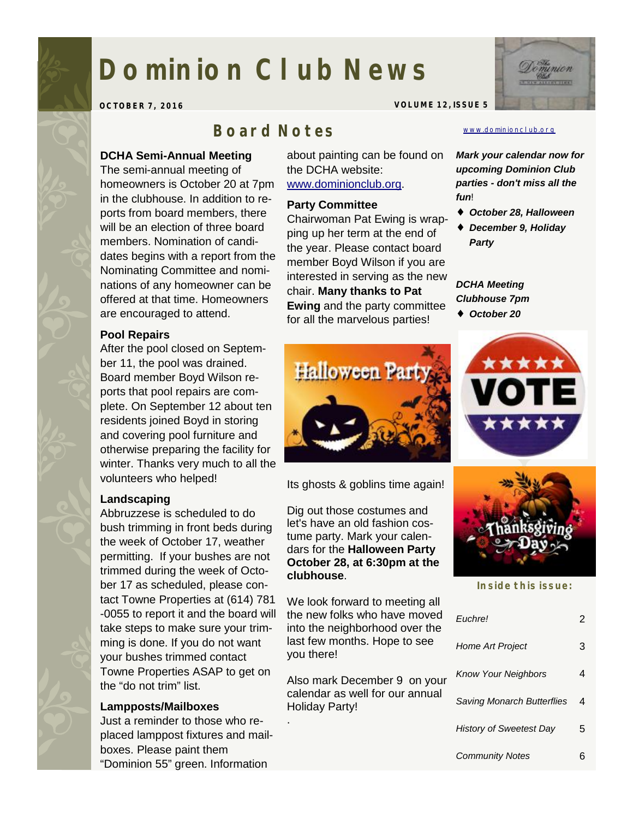# **Dominion Club News**

**OCTOBER 7, 2016 VOLUME 12, ISSUE 5** 

# *Board Notes*

#### **DCHA Semi-Annual Meeting**

The semi-annual meeting of homeowners is October 20 at 7pm in the clubhouse. In addition to reports from board members, there will be an election of three board members. Nomination of candidates begins with a report from the Nominating Committee and nominations of any homeowner can be offered at that time. Homeowners are encouraged to attend.

#### **Pool Repairs**

After the pool closed on September 11, the pool was drained. Board member Boyd Wilson reports that pool repairs are complete. On September 12 about ten residents joined Boyd in storing and covering pool furniture and otherwise preparing the facility for winter. Thanks very much to all the volunteers who helped!

#### **Landscaping**

Abbruzzese is scheduled to do bush trimming in front beds during the week of October 17, weather permitting. If your bushes are not trimmed during the week of October 17 as scheduled, please contact Towne Properties at (614) 781 -0055 to report it and the board will take steps to make sure your trimming is done. If you do not want your bushes trimmed contact Towne Properties ASAP to get on the "do not trim" list.

#### **Lampposts/Mailboxes**

Just a reminder to those who replaced lamppost fixtures and mailboxes. Please paint them "Dominion 55" green. Information

about painting can be found on the DCHA website: [www.dominionclub.org](http://www.dominionclub.org).

# **Party Committee**

Chairwoman Pat Ewing is wrapping up her term at the end of the year. Please contact board member Boyd Wilson if you are interested in serving as the new chair. **Many thanks to Pat Ewing** and the party committee for all the marvelous parties!

#### [www.dominionclub.org](http://www.dominionclub.org)

*Mark your calendar now for upcoming Dominion Club parties - don't miss all the fun*!

- ♦ *October 28, Halloween*
- ♦ *December 9, Holiday Party*

#### *DCHA Meeting Clubhouse 7pm*

♦ *October 20* 



Its ghosts & goblins time again!

Dig out those costumes and let's have an old fashion costume party. Mark your calendars for the **Halloween Party October 28, at 6:30pm at the clubhouse**.

We look forward to meeting all the new folks who have moved into the neighborhood over the last few months. Hope to see you there!

Also mark December 9 on your calendar as well for our annual Holiday Party!

.



**Inside this issue:** 

|  | Fuchre!                           |   |
|--|-----------------------------------|---|
|  | <b>Home Art Project</b>           | З |
|  | <b>Know Your Neighbors</b>        |   |
|  | <b>Saving Monarch Butterflies</b> | 4 |
|  | <b>History of Sweetest Day</b>    | 5 |
|  | <b>Community Notes</b>            |   |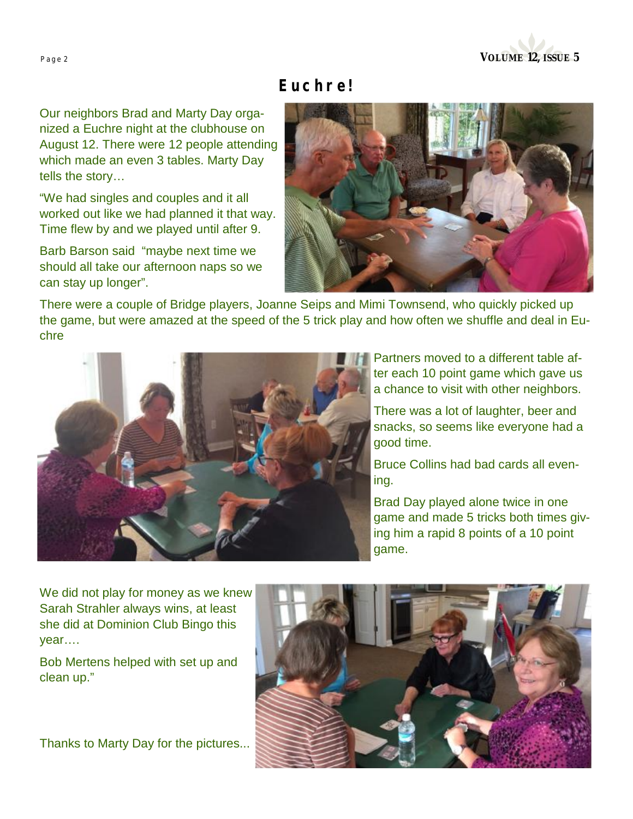

# *Euchre!*

Our neighbors Brad and Marty Day organized a Euchre night at the clubhouse on August 12. There were 12 people attending which made an even 3 tables. Marty Day tells the story…

"We had singles and couples and it all worked out like we had planned it that way. Time flew by and we played until after 9.

Barb Barson said "maybe next time we should all take our afternoon naps so we can stay up longer".



There were a couple of Bridge players, Joanne Seips and Mimi Townsend, who quickly picked up the game, but were amazed at the speed of the 5 trick play and how often we shuffle and deal in Euchre



Partners moved to a different table after each 10 point game which gave us a chance to visit with other neighbors.

There was a lot of laughter, beer and snacks, so seems like everyone had a good time.

Bruce Collins had bad cards all evening.

Brad Day played alone twice in one game and made 5 tricks both times giving him a rapid 8 points of a 10 point game.

We did not play for money as we knew Sarah Strahler always wins, at least she did at Dominion Club Bingo this year….

Bob Mertens helped with set up and clean up."

Thanks to Marty Day for the pictures...

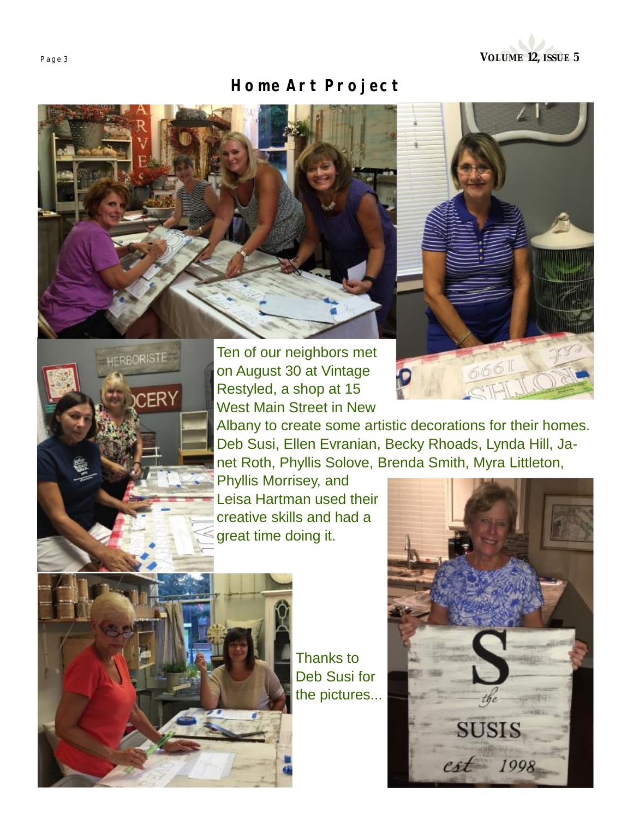

# *Home Art Project*







Ten of our neighbors met on August 30 at Vintage Restyled, a shop at 15 West Main Street in New

Albany to create some artistic decorations for their homes. Deb Susi, Ellen Evranian, Becky Rhoads, Lynda Hill, Janet Roth, Phyllis Solove, Brenda Smith, Myra Littleton,

Phyllis Morrisey, and Leisa Hartman used their creative skills and had a great time doing it.



Thanks to Deb Susi for the pictures...

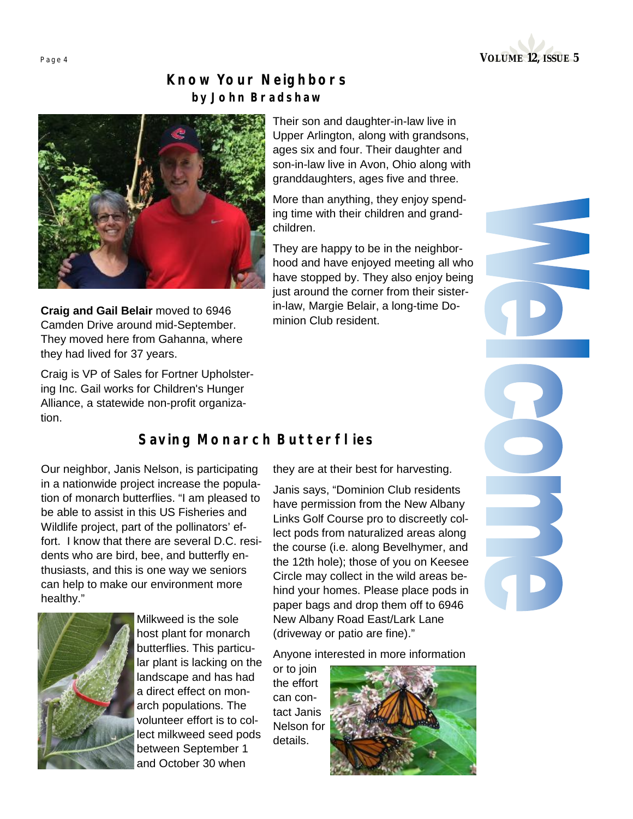

## *Know Your Neighbors by John Bradshaw*



**Craig and Gail Belair** moved to 6946 Camden Drive around mid-September. They moved here from Gahanna, where they had lived for 37 years.

Craig is VP of Sales for Fortner Upholstering Inc. Gail works for Children's Hunger Alliance, a statewide non-profit organization.

Their son and daughter-in-law live in Upper Arlington, along with grandsons, ages six and four. Their daughter and son-in-law live in Avon, Ohio along with granddaughters, ages five and three.

More than anything, they enjoy spending time with their children and grandchildren.

They are happy to be in the neighborhood and have enjoyed meeting all who have stopped by. They also enjoy being just around the corner from their sisterin-law, Margie Belair, a long-time Dominion Club resident.

### *Saving Monarch Butterflies*

Our neighbor, Janis Nelson, is participating in a nationwide project increase the population of monarch butterflies. "I am pleased to be able to assist in this US Fisheries and Wildlife project, part of the pollinators' effort. I know that there are several D.C. residents who are bird, bee, and butterfly enthusiasts, and this is one way we seniors can help to make our environment more healthy."



Milkweed is the sole host plant for monarch butterflies. This particular plant is lacking on the landscape and has had a direct effect on monarch populations. The volunteer effort is to collect milkweed seed pods between September 1 and October 30 when

they are at their best for harvesting.

Janis says, "Dominion Club residents have permission from the New Albany Links Golf Course pro to discreetly collect pods from naturalized areas along the course (i.e. along Bevelhymer, and the 12th hole); those of you on Keesee Circle may collect in the wild areas behind your homes. Please place pods in paper bags and drop them off to 6946 New Albany Road East/Lark Lane (driveway or patio are fine)."

Anyone interested in more information

or to join the effort can contact Janis Nelson for details.

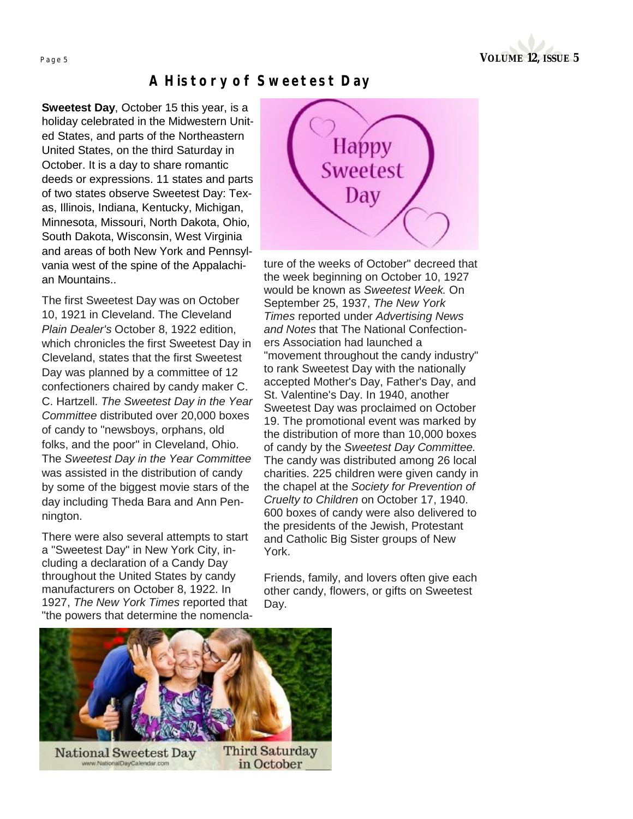

### *A History of Sweetest Day*

**Sweetest Day**, October 15 this year, is a holiday celebrated in the Midwestern United States, and parts of the Northeastern United States, on the third Saturday in October. It is a day to share romantic deeds or expressions. 11 states and parts of two states observe Sweetest Day: Texas, Illinois, Indiana, Kentucky, Michigan, Minnesota, Missouri, North Dakota, Ohio, South Dakota, Wisconsin, West Virginia and areas of both New York and Pennsylvania west of the spine of the Appalachian Mountains..

The first Sweetest Day was on October 10, 1921 in Cleveland. The Cleveland *Plain Dealer's* October 8, 1922 edition, which chronicles the first Sweetest Day in Cleveland, states that the first Sweetest Day was planned by a committee of 12 confectioners chaired by candy maker C. C. Hartzell. *The Sweetest Day in the Year Committee* distributed over 20,000 boxes of candy to "newsboys, orphans, old folks, and the poor" in Cleveland, Ohio. The *Sweetest Day in the Year Committee* was assisted in the distribution of candy by some of the biggest movie stars of the day including Theda Bara and Ann Pennington.

There were also several attempts to start a "Sweetest Day" in New York City, including a declaration of a Candy Day throughout the United States by candy manufacturers on October 8, 1922. In 1927, *The New York Times* reported that "the powers that determine the nomencla-



ture of the weeks of October" decreed that the week beginning on October 10, 1927 would be known as *Sweetest Week.* On September 25, 1937, *The New York Times* reported under *Advertising News and Notes* that The National Confectioners Association had launched a "movement throughout the candy industry" to rank Sweetest Day with the nationally accepted Mother's Day, Father's Day, and St. Valentine's Day. In 1940, another Sweetest Day was proclaimed on October 19. The promotional event was marked by the distribution of more than 10,000 boxes of candy by the *Sweetest Day Committee.* The candy was distributed among 26 local charities. 225 children were given candy in the chapel at the *Society for Prevention of Cruelty to Children* on October 17, 1940. 600 boxes of candy were also delivered to the presidents of the Jewish, Protestant and Catholic Big Sister groups of New York.

Friends, family, and lovers often give each other candy, flowers, or gifts on Sweetest Day.



**Third Saturday** National Sweetest Day in October www.NationalDayCalendar.co